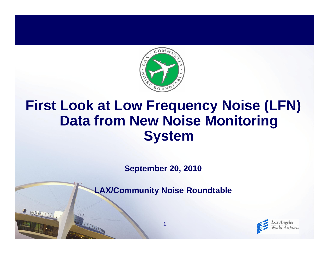

## **First Look at Low Frequency Noise (LFN) Data from New Noise Monitoring System**

**September 20, 2010**

**LAX/Community Noise Roundtable**

**1**

R NUTHTITI

THE THE TIME

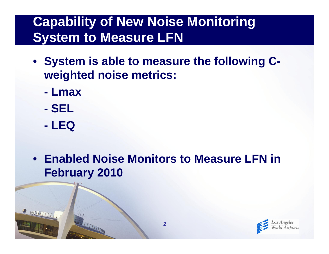## **Capability of New Noise Monitoring System to Measure LFN**

- **System is able to measure the following Cweighted noise metrics:**
	- **- Lmax**
	- **- SEL**
	- **- LEQ**

THE THE TIME OF

R INVENTIT

• **Enabled Noise Monitors to Measure LFN in February 2010**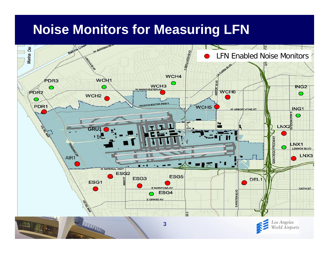## **Noise Monitors for Measuring LFN**

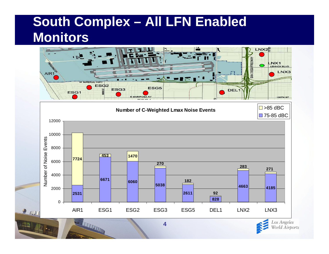# **South Complex – All LFN Enabled Monitors**

۴.



World Airports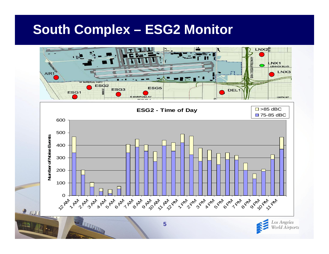#### **South Complex – ESG2 Monitor**

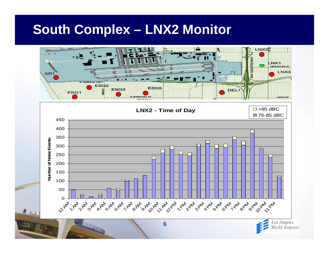#### **South Complex – LNX2 Monitor**

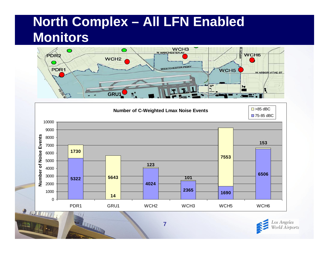# **North Complex – All LFN Enabled Monitors**





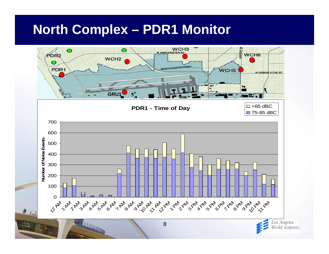## **North Complex – PDR1 Monitor**